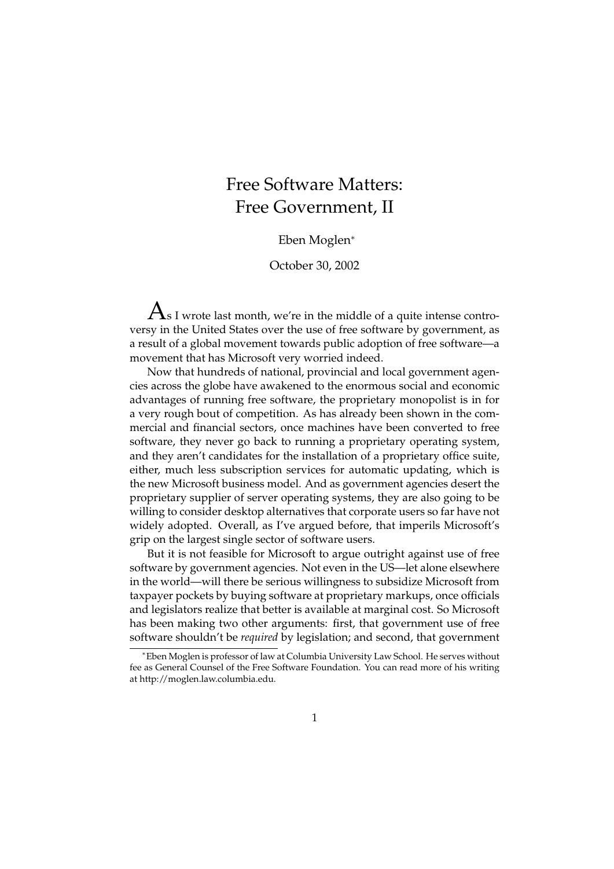## Free Software Matters: Free Government, II

## Eben Moglen<sup>∗</sup>

October 30, 2002

 ${\rm A}_{{\rm s}\, {\rm I}}$  wrote last month, we're in the middle of a quite intense controversy in the United States over the use of free software by government, as a result of a global movement towards public adoption of free software—a movement that has Microsoft very worried indeed.

Now that hundreds of national, provincial and local government agencies across the globe have awakened to the enormous social and economic advantages of running free software, the proprietary monopolist is in for a very rough bout of competition. As has already been shown in the commercial and financial sectors, once machines have been converted to free software, they never go back to running a proprietary operating system, and they aren't candidates for the installation of a proprietary office suite, either, much less subscription services for automatic updating, which is the new Microsoft business model. And as government agencies desert the proprietary supplier of server operating systems, they are also going to be willing to consider desktop alternatives that corporate users so far have not widely adopted. Overall, as I've argued before, that imperils Microsoft's grip on the largest single sector of software users.

But it is not feasible for Microsoft to argue outright against use of free software by government agencies. Not even in the US—let alone elsewhere in the world—will there be serious willingness to subsidize Microsoft from taxpayer pockets by buying software at proprietary markups, once officials and legislators realize that better is available at marginal cost. So Microsoft has been making two other arguments: first, that government use of free software shouldn't be *required* by legislation; and second, that government

<sup>∗</sup>Eben Moglen is professor of law at Columbia University Law School. He serves without fee as General Counsel of the Free Software Foundation. You can read more of his writing at http://moglen.law.columbia.edu.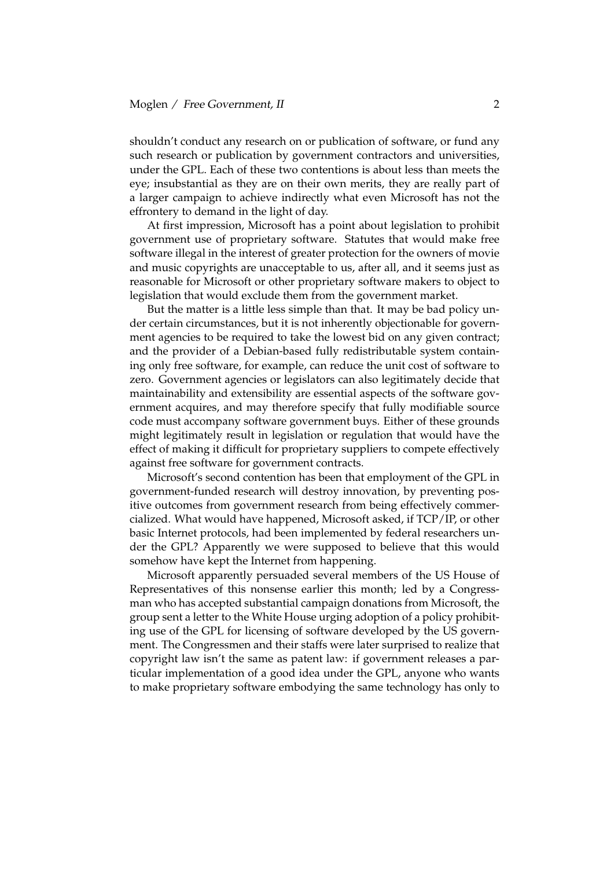shouldn't conduct any research on or publication of software, or fund any such research or publication by government contractors and universities, under the GPL. Each of these two contentions is about less than meets the eye; insubstantial as they are on their own merits, they are really part of a larger campaign to achieve indirectly what even Microsoft has not the effrontery to demand in the light of day.

At first impression, Microsoft has a point about legislation to prohibit government use of proprietary software. Statutes that would make free software illegal in the interest of greater protection for the owners of movie and music copyrights are unacceptable to us, after all, and it seems just as reasonable for Microsoft or other proprietary software makers to object to legislation that would exclude them from the government market.

But the matter is a little less simple than that. It may be bad policy under certain circumstances, but it is not inherently objectionable for government agencies to be required to take the lowest bid on any given contract; and the provider of a Debian-based fully redistributable system containing only free software, for example, can reduce the unit cost of software to zero. Government agencies or legislators can also legitimately decide that maintainability and extensibility are essential aspects of the software government acquires, and may therefore specify that fully modifiable source code must accompany software government buys. Either of these grounds might legitimately result in legislation or regulation that would have the effect of making it difficult for proprietary suppliers to compete effectively against free software for government contracts.

Microsoft's second contention has been that employment of the GPL in government-funded research will destroy innovation, by preventing positive outcomes from government research from being effectively commercialized. What would have happened, Microsoft asked, if TCP/IP, or other basic Internet protocols, had been implemented by federal researchers under the GPL? Apparently we were supposed to believe that this would somehow have kept the Internet from happening.

Microsoft apparently persuaded several members of the US House of Representatives of this nonsense earlier this month; led by a Congressman who has accepted substantial campaign donations from Microsoft, the group sent a letter to the White House urging adoption of a policy prohibiting use of the GPL for licensing of software developed by the US government. The Congressmen and their staffs were later surprised to realize that copyright law isn't the same as patent law: if government releases a particular implementation of a good idea under the GPL, anyone who wants to make proprietary software embodying the same technology has only to